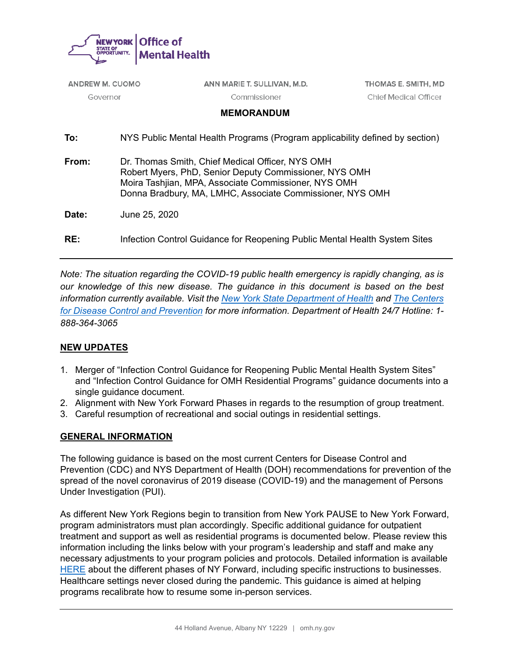

| <b>ANDREW M. CUOMO</b> |                                                                                                                                                                                                                                 | ANN MARIE T. SULLIVAN, M.D. | THOMAS E. SMITH, MD                                                        |
|------------------------|---------------------------------------------------------------------------------------------------------------------------------------------------------------------------------------------------------------------------------|-----------------------------|----------------------------------------------------------------------------|
| Governor               |                                                                                                                                                                                                                                 | Commissioner                | <b>Chief Medical Officer</b>                                               |
|                        |                                                                                                                                                                                                                                 | <b>MEMORANDUM</b>           |                                                                            |
| To:                    | NYS Public Mental Health Programs (Program applicability defined by section)                                                                                                                                                    |                             |                                                                            |
| From:                  | Dr. Thomas Smith, Chief Medical Officer, NYS OMH<br>Robert Myers, PhD, Senior Deputy Commissioner, NYS OMH<br>Moira Tashijan, MPA, Associate Commissioner, NYS OMH<br>Donna Bradbury, MA, LMHC, Associate Commissioner, NYS OMH |                             |                                                                            |
| Date:                  | June 25, 2020                                                                                                                                                                                                                   |                             |                                                                            |
| RE:                    |                                                                                                                                                                                                                                 |                             | Infection Control Guidance for Reopening Public Mental Health System Sites |
|                        |                                                                                                                                                                                                                                 |                             |                                                                            |

*Note: The situation regarding the COVID-19 public health emergency is rapidly changing, as is our knowledge of this new disease. The guidance in this document is based on the best information currently available. Visit the [New York State Department of Health](https://coronavirus.health.ny.gov/home) and [The Centers](https://www.cdc.gov/coronavirus/2019-nCoV/index.html)  [for Disease Control and Prevention](https://www.cdc.gov/coronavirus/2019-nCoV/index.html) for more information. Department of Health 24/7 Hotline: 1- 888-364-3065*

### **NEW UPDATES**

- 1. Merger of "Infection Control Guidance for Reopening Public Mental Health System Sites" and "Infection Control Guidance for OMH Residential Programs" guidance documents into a single guidance document.
- 2. Alignment with New York Forward Phases in regards to the resumption of group treatment.
- 3. Careful resumption of recreational and social outings in residential settings.

### **GENERAL INFORMATION**

The following guidance is based on the most current Centers for Disease Control and Prevention (CDC) and NYS Department of Health (DOH) recommendations for prevention of the spread of the novel coronavirus of 2019 disease (COVID-19) and the management of Persons Under Investigation (PUI).

As different New York Regions begin to transition from New York PAUSE to New York Forward, program administrators must plan accordingly. Specific additional guidance for outpatient treatment and support as well as residential programs is documented below. Please review this information including the links below with your program's leadership and staff and make any necessary adjustments to your program policies and protocols. Detailed information is available [HERE](https://forward.ny.gov/ny-forward) about the different phases of NY Forward, including specific instructions to businesses. Healthcare settings never closed during the pandemic. This guidance is aimed at helping programs recalibrate how to resume some in-person services.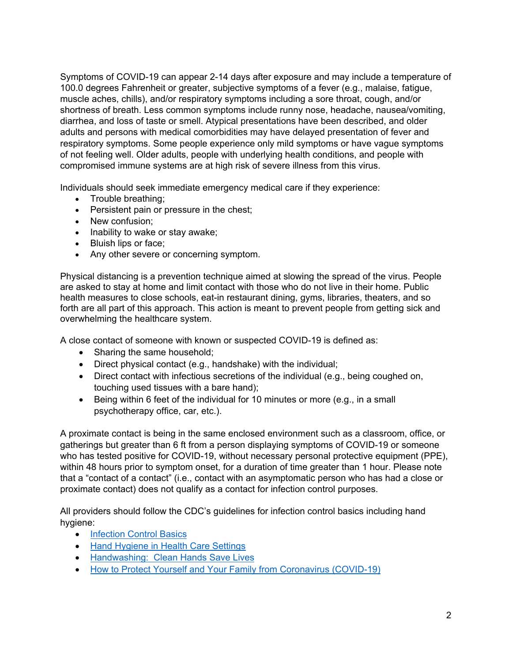Symptoms of COVID-19 can appear 2-14 days after exposure and may include a temperature of 100.0 degrees Fahrenheit or greater, subjective symptoms of a fever (e.g., malaise, fatigue, muscle aches, chills), and/or respiratory symptoms including a sore throat, cough, and/or shortness of breath. Less common symptoms include runny nose, headache, nausea/vomiting, diarrhea, and loss of taste or smell. Atypical presentations have been described, and older adults and persons with medical comorbidities may have delayed presentation of fever and respiratory symptoms. Some people experience only mild symptoms or have vague symptoms of not feeling well. Older adults, people with underlying health conditions, and people with compromised immune systems are at high risk of severe illness from this virus.

Individuals should seek immediate emergency medical care if they experience:

- Trouble breathing;
- Persistent pain or pressure in the chest;
- New confusion;
- Inability to wake or stay awake;
- Bluish lips or face;
- Any other severe or concerning symptom.

Physical distancing is a prevention technique aimed at slowing the spread of the virus. People are asked to stay at home and limit contact with those who do not live in their home. Public health measures to close schools, eat-in restaurant dining, gyms, libraries, theaters, and so forth are all part of this approach. This action is meant to prevent people from getting sick and overwhelming the healthcare system.

A close contact of someone with known or suspected COVID-19 is defined as:

- Sharing the same household;
- Direct physical contact (e.g., handshake) with the individual;
- Direct contact with infectious secretions of the individual (e.g., being coughed on, touching used tissues with a bare hand);
- Being within 6 feet of the individual for 10 minutes or more (e.g., in a small psychotherapy office, car, etc.).

A proximate contact is being in the same enclosed environment such as a classroom, office, or gatherings but greater than 6 ft from a person displaying symptoms of COVID-19 or someone who has tested positive for COVID-19, without necessary personal protective equipment (PPE), within 48 hours prior to symptom onset, for a duration of time greater than 1 hour. Please note that a "contact of a contact" (i.e., contact with an asymptomatic person who has had a close or proximate contact) does not qualify as a contact for infection control purposes.

All providers should follow the CDC's guidelines for infection control basics including hand hygiene:

- [Infection Control Basics](https://www.cdc.gov/infectioncontrol/basics/index.html)
- [Hand Hygiene in Health Care Settings](https://www.cdc.gov/handhygiene/)
- Handwashing: [Clean Hands Save Lives](https://www.cdc.gov/handwashing/index.html)
- [How to Protect Yourself and Your Family from Coronavirus \(COVID-19\)](https://coronavirus.health.ny.gov/protect-yourself-and-your-family-coronavirus-covid-19)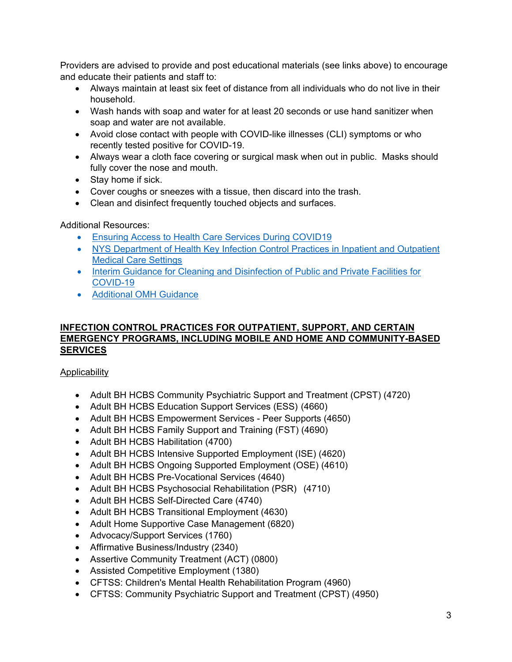Providers are advised to provide and post educational materials (see links above) to encourage and educate their patients and staff to:

- Always maintain at least six feet of distance from all individuals who do not live in their household.
- Wash hands with soap and water for at least 20 seconds or use hand sanitizer when soap and water are not available.
- Avoid close contact with people with COVID-like illnesses (CLI) symptoms or who recently tested positive for COVID-19.
- Always wear a cloth face covering or surgical mask when out in public. Masks should fully cover the nose and mouth.
- Stay home if sick.
- Cover coughs or sneezes with a tissue, then discard into the trash.
- Clean and disinfect frequently touched objects and surfaces.

Additional Resources:

- [Ensuring Access to Health Care Services During COVID19](https://coronavirus.health.ny.gov/system/files/documents/2020/05/doh_covid19_accessroutinehealthcare_051920.pdf)
- [NYS Department of Health Key Infection Control Practices in Inpatient and Outpatient](https://www.health.ny.gov/professionals/diseases/reporting/communicable/infection/key_infection_control_practices.htm)  [Medical Care Settings](https://www.health.ny.gov/professionals/diseases/reporting/communicable/infection/key_infection_control_practices.htm)
- [Interim Guidance for Cleaning and Disinfection of Public and Private Facilities for](https://coronavirus.health.ny.gov/system/files/documents/2020/03/cleaning_guidance_general_building.pdf)  [COVID-19](https://coronavirus.health.ny.gov/system/files/documents/2020/03/cleaning_guidance_general_building.pdf)
- [Additional OMH Guidance](https://omh.ny.gov/omhweb/guidance/)

### **INFECTION CONTROL PRACTICES FOR OUTPATIENT, SUPPORT, AND CERTAIN EMERGENCY PROGRAMS, INCLUDING MOBILE AND HOME AND COMMUNITY-BASED SERVICES**

**Applicability** 

- Adult BH HCBS Community Psychiatric Support and Treatment (CPST) (4720)
- Adult BH HCBS Education Support Services (ESS) (4660)
- Adult BH HCBS Empowerment Services Peer Supports (4650)
- Adult BH HCBS Family Support and Training (FST) (4690)
- Adult BH HCBS Habilitation (4700)
- Adult BH HCBS Intensive Supported Employment (ISE) (4620)
- Adult BH HCBS Ongoing Supported Employment (OSE) (4610)
- Adult BH HCBS Pre-Vocational Services (4640)
- Adult BH HCBS Psychosocial Rehabilitation (PSR) (4710)
- Adult BH HCBS Self-Directed Care (4740)
- Adult BH HCBS Transitional Employment (4630)
- Adult Home Supportive Case Management (6820)
- Advocacy/Support Services (1760)
- Affirmative Business/Industry (2340)
- Assertive Community Treatment (ACT) (0800)
- Assisted Competitive Employment (1380)
- CFTSS: Children's Mental Health Rehabilitation Program (4960)
- CFTSS: Community Psychiatric Support and Treatment (CPST) (4950)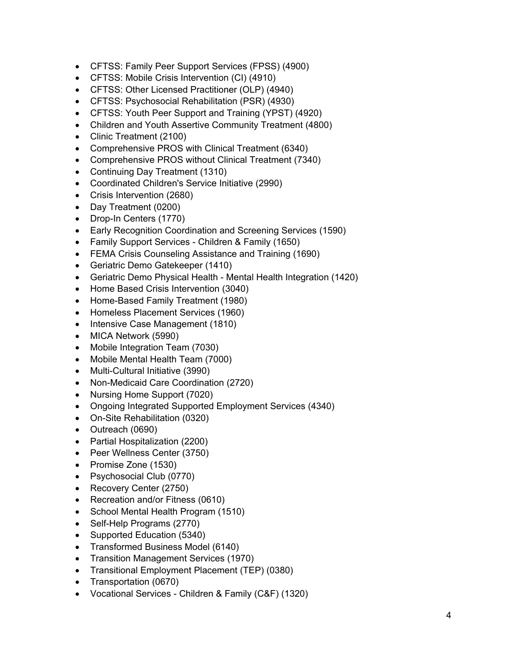- CFTSS: Family Peer Support Services (FPSS) (4900)
- CFTSS: Mobile Crisis Intervention (CI) (4910)
- CFTSS: Other Licensed Practitioner (OLP) (4940)
- CFTSS: Psychosocial Rehabilitation (PSR) (4930)
- CFTSS: Youth Peer Support and Training (YPST) (4920)
- Children and Youth Assertive Community Treatment (4800)
- Clinic Treatment (2100)
- Comprehensive PROS with Clinical Treatment (6340)
- Comprehensive PROS without Clinical Treatment (7340)
- Continuing Day Treatment (1310)
- Coordinated Children's Service Initiative (2990)
- Crisis Intervention (2680)
- Day Treatment (0200)
- Drop-In Centers (1770)
- Early Recognition Coordination and Screening Services (1590)
- Family Support Services Children & Family (1650)
- FEMA Crisis Counseling Assistance and Training (1690)
- Geriatric Demo Gatekeeper (1410)
- Geriatric Demo Physical Health Mental Health Integration (1420)
- Home Based Crisis Intervention (3040)
- Home-Based Family Treatment (1980)
- Homeless Placement Services (1960)
- Intensive Case Management (1810)
- MICA Network (5990)
- Mobile Integration Team (7030)
- Mobile Mental Health Team (7000)
- Multi-Cultural Initiative (3990)
- Non-Medicaid Care Coordination (2720)
- Nursing Home Support (7020)
- Ongoing Integrated Supported Employment Services (4340)
- On-Site Rehabilitation (0320)
- Outreach (0690)
- Partial Hospitalization (2200)
- Peer Wellness Center (3750)
- Promise Zone (1530)
- Psychosocial Club (0770)
- Recovery Center (2750)
- Recreation and/or Fitness (0610)
- School Mental Health Program (1510)
- Self-Help Programs (2770)
- Supported Education (5340)
- Transformed Business Model (6140)
- Transition Management Services (1970)
- Transitional Employment Placement (TEP) (0380)
- Transportation (0670)
- Vocational Services Children & Family (C&F) (1320)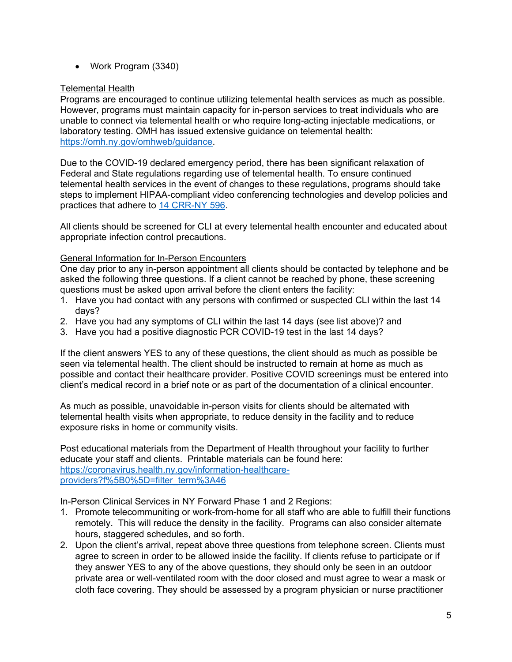• Work Program (3340)

### Telemental Health

Programs are encouraged to continue utilizing telemental health services as much as possible. However, programs must maintain capacity for in-person services to treat individuals who are unable to connect via telemental health or who require long-acting injectable medications, or laboratory testing. OMH has issued extensive guidance on telemental health: [https://omh.ny.gov/omhweb/guidance.](https://omh.ny.gov/omhweb/guidance)

Due to the COVID-19 declared emergency period, there has been significant relaxation of Federal and State regulations regarding use of telemental health. To ensure continued telemental health services in the event of changes to these regulations, programs should take steps to implement HIPAA-compliant video conferencing technologies and develop policies and practices that adhere to [14 CRR-NY 596.](https://govt.westlaw.com/nycrr/Browse/Home/NewYork/NewYorkCodesRulesandRegulations?guid=I8a9722c0745d11e698989542c6a1529e&originationContext=documenttoc&transitionType=Default&contextData=(sc.Default))

All clients should be screened for CLI at every telemental health encounter and educated about appropriate infection control precautions.

### General Information for In-Person Encounters

One day prior to any in-person appointment all clients should be contacted by telephone and be asked the following three questions. If a client cannot be reached by phone, these screening questions must be asked upon arrival before the client enters the facility:

- 1. Have you had contact with any persons with confirmed or suspected CLI within the last 14 days?
- 2. Have you had any symptoms of CLI within the last 14 days (see list above)? and
- 3. Have you had a positive diagnostic PCR COVID-19 test in the last 14 days?

If the client answers YES to any of these questions, the client should as much as possible be seen via telemental health. The client should be instructed to remain at home as much as possible and contact their healthcare provider. Positive COVID screenings must be entered into client's medical record in a brief note or as part of the documentation of a clinical encounter.

As much as possible, unavoidable in-person visits for clients should be alternated with telemental health visits when appropriate, to reduce density in the facility and to reduce exposure risks in home or community visits.

Post educational materials from the Department of Health throughout your facility to further educate your staff and clients. Printable materials can be found here: [https://coronavirus.health.ny.gov/information-healthcare](https://coronavirus.health.ny.gov/information-healthcare-providers?f%5B0%5D=filter_term%3A46)[providers?f%5B0%5D=filter\\_term%3A46](https://coronavirus.health.ny.gov/information-healthcare-providers?f%5B0%5D=filter_term%3A46)

In-Person Clinical Services in NY Forward Phase 1 and 2 Regions:

- 1. Promote telecommuniting or work-from-home for all staff who are able to fulfill their functions remotely. This will reduce the density in the facility. Programs can also consider alternate hours, staggered schedules, and so forth.
- 2. Upon the client's arrival, repeat above three questions from telephone screen. Clients must agree to screen in order to be allowed inside the facility. If clients refuse to participate or if they answer YES to any of the above questions, they should only be seen in an outdoor private area or well-ventilated room with the door closed and must agree to wear a mask or cloth face covering. They should be assessed by a program physician or nurse practitioner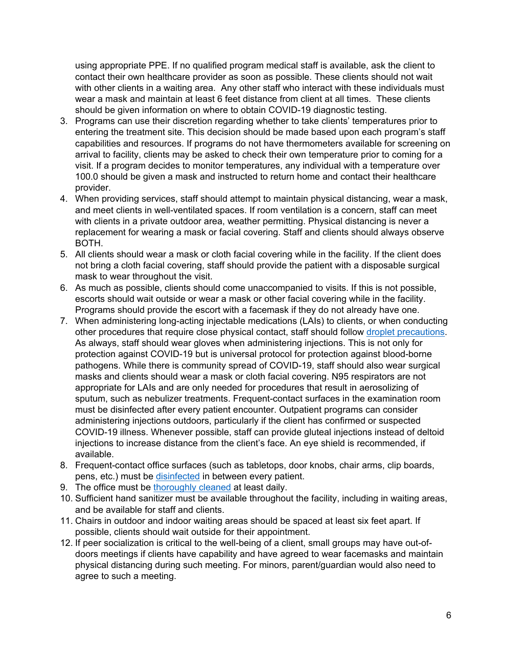using appropriate PPE. If no qualified program medical staff is available, ask the client to contact their own healthcare provider as soon as possible. These clients should not wait with other clients in a waiting area. Any other staff who interact with these individuals must wear a mask and maintain at least 6 feet distance from client at all times. These clients should be given information on where to obtain COVID-19 diagnostic testing.

- 3. Programs can use their discretion regarding whether to take clients' temperatures prior to entering the treatment site. This decision should be made based upon each program's staff capabilities and resources. If programs do not have thermometers available for screening on arrival to facility, clients may be asked to check their own temperature prior to coming for a visit. If a program decides to monitor temperatures, any individual with a temperature over 100.0 should be given a mask and instructed to return home and contact their healthcare provider.
- 4. When providing services, staff should attempt to maintain physical distancing, wear a mask, and meet clients in well-ventilated spaces. If room ventilation is a concern, staff can meet with clients in a private outdoor area, weather permitting. Physical distancing is never a replacement for wearing a mask or facial covering. Staff and clients should always observe BOTH.
- 5. All clients should wear a mask or cloth facial covering while in the facility. If the client does not bring a cloth facial covering, staff should provide the patient with a disposable surgical mask to wear throughout the visit.
- 6. As much as possible, clients should come unaccompanied to visits. If this is not possible, escorts should wait outside or wear a mask or other facial covering while in the facility. Programs should provide the escort with a facemask if they do not already have one.
- 7. When administering long-acting injectable medications (LAIs) to clients, or when conducting other procedures that require close physical contact, staff should follow [droplet precautions.](https://www.cdc.gov/infectioncontrol/basics/transmission-based-precautions.html) As always, staff should wear gloves when administering injections. This is not only for protection against COVID-19 but is universal protocol for protection against blood-borne pathogens. While there is community spread of COVID-19, staff should also wear surgical masks and clients should wear a mask or cloth facial covering. N95 respirators are not appropriate for LAIs and are only needed for procedures that result in aerosolizing of sputum, such as nebulizer treatments. Frequent-contact surfaces in the examination room must be disinfected after every patient encounter. Outpatient programs can consider administering injections outdoors, particularly if the client has confirmed or suspected COVID-19 illness. Whenever possible, staff can provide gluteal injections instead of deltoid injections to increase distance from the client's face. An eye shield is recommended, if available.
- 8. Frequent-contact office surfaces (such as tabletops, door knobs, chair arms, clip boards, pens, etc.) must be [disinfected](https://coronavirus.health.ny.gov/system/files/documents/2020/03/cleaning_guidance_general_building.pdf) in between every patient.
- 9. The office must be [thoroughly cleaned](https://coronavirus.health.ny.gov/system/files/documents/2020/03/cleaning_guidance_general_building.pdf) at least daily.
- 10. Sufficient hand sanitizer must be available throughout the facility, including in waiting areas, and be available for staff and clients.
- 11. Chairs in outdoor and indoor waiting areas should be spaced at least six feet apart. If possible, clients should wait outside for their appointment.
- 12. If peer socialization is critical to the well-being of a client, small groups may have out-ofdoors meetings if clients have capability and have agreed to wear facemasks and maintain physical distancing during such meeting. For minors, parent/guardian would also need to agree to such a meeting.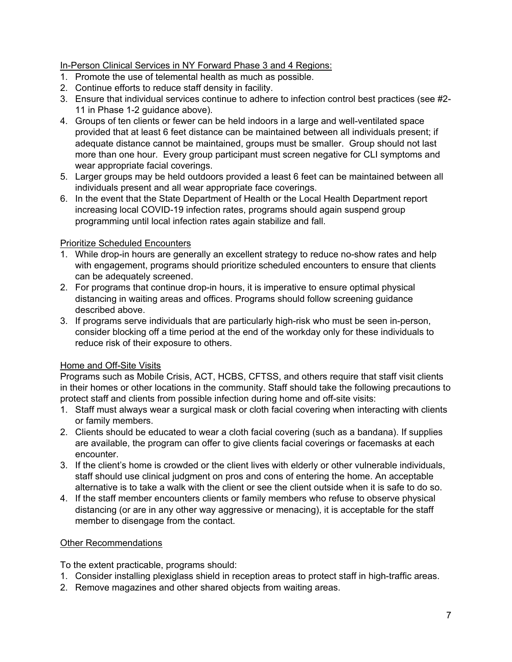## In-Person Clinical Services in NY Forward Phase 3 and 4 Regions:

- 1. Promote the use of telemental health as much as possible.
- 2. Continue efforts to reduce staff density in facility.
- 3. Ensure that individual services continue to adhere to infection control best practices (see #2- 11 in Phase 1-2 guidance above).
- 4. Groups of ten clients or fewer can be held indoors in a large and well-ventilated space provided that at least 6 feet distance can be maintained between all individuals present; if adequate distance cannot be maintained, groups must be smaller. Group should not last more than one hour. Every group participant must screen negative for CLI symptoms and wear appropriate facial coverings.
- 5. Larger groups may be held outdoors provided a least 6 feet can be maintained between all individuals present and all wear appropriate face coverings.
- 6. In the event that the State Department of Health or the Local Health Department report increasing local COVID-19 infection rates, programs should again suspend group programming until local infection rates again stabilize and fall.

## Prioritize Scheduled Encounters

- 1. While drop-in hours are generally an excellent strategy to reduce no-show rates and help with engagement, programs should prioritize scheduled encounters to ensure that clients can be adequately screened.
- 2. For programs that continue drop-in hours, it is imperative to ensure optimal physical distancing in waiting areas and offices. Programs should follow screening guidance described above.
- 3. If programs serve individuals that are particularly high-risk who must be seen in-person, consider blocking off a time period at the end of the workday only for these individuals to reduce risk of their exposure to others.

## Home and Off-Site Visits

Programs such as Mobile Crisis, ACT, HCBS, CFTSS, and others require that staff visit clients in their homes or other locations in the community. Staff should take the following precautions to protect staff and clients from possible infection during home and off-site visits:

- 1. Staff must always wear a surgical mask or cloth facial covering when interacting with clients or family members.
- 2. Clients should be educated to wear a cloth facial covering (such as a bandana). If supplies are available, the program can offer to give clients facial coverings or facemasks at each encounter.
- 3. If the client's home is crowded or the client lives with elderly or other vulnerable individuals, staff should use clinical judgment on pros and cons of entering the home. An acceptable alternative is to take a walk with the client or see the client outside when it is safe to do so.
- 4. If the staff member encounters clients or family members who refuse to observe physical distancing (or are in any other way aggressive or menacing), it is acceptable for the staff member to disengage from the contact.

### Other Recommendations

To the extent practicable, programs should:

- 1. Consider installing plexiglass shield in reception areas to protect staff in high-traffic areas.
- 2. Remove magazines and other shared objects from waiting areas.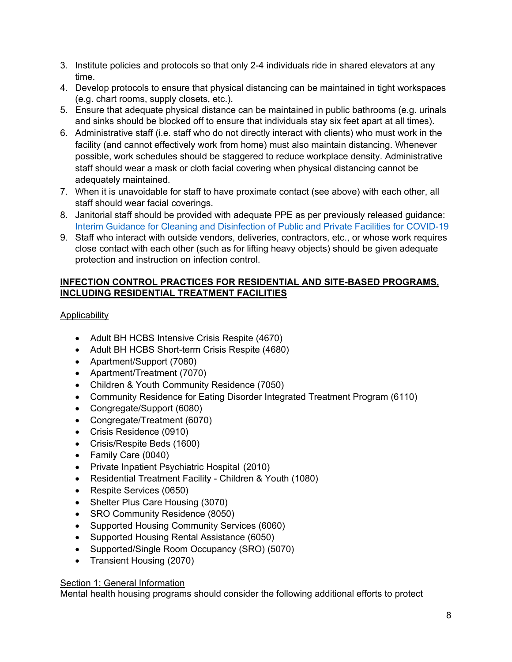- 3. Institute policies and protocols so that only 2-4 individuals ride in shared elevators at any time.
- 4. Develop protocols to ensure that physical distancing can be maintained in tight workspaces (e.g. chart rooms, supply closets, etc.).
- 5. Ensure that adequate physical distance can be maintained in public bathrooms (e.g. urinals and sinks should be blocked off to ensure that individuals stay six feet apart at all times).
- 6. Administrative staff (i.e. staff who do not directly interact with clients) who must work in the facility (and cannot effectively work from home) must also maintain distancing. Whenever possible, work schedules should be staggered to reduce workplace density. Administrative staff should wear a mask or cloth facial covering when physical distancing cannot be adequately maintained.
- 7. When it is unavoidable for staff to have proximate contact (see above) with each other, all staff should wear facial coverings.
- 8. Janitorial staff should be provided with adequate PPE as per previously released guidance: [Interim Guidance for Cleaning and Disinfection of Public and Private Facilities for COVID-19](https://coronavirus.health.ny.gov/system/files/documents/2020/03/cleaning_guidance_general_building.pdf)
- 9. Staff who interact with outside vendors, deliveries, contractors, etc., or whose work requires close contact with each other (such as for lifting heavy objects) should be given adequate protection and instruction on infection control.

# **INFECTION CONTROL PRACTICES FOR RESIDENTIAL AND SITE-BASED PROGRAMS, INCLUDING RESIDENTIAL TREATMENT FACILITIES**

# Applicability

- Adult BH HCBS Intensive Crisis Respite (4670)
- Adult BH HCBS Short-term Crisis Respite (4680)
- Apartment/Support (7080)
- Apartment/Treatment (7070)
- Children & Youth Community Residence (7050)
- Community Residence for Eating Disorder Integrated Treatment Program (6110)
- Congregate/Support (6080)
- Congregate/Treatment (6070)
- Crisis Residence (0910)
- Crisis/Respite Beds (1600)
- Family Care (0040)
- Private Inpatient Psychiatric Hospital (2010)
- Residential Treatment Facility Children & Youth (1080)
- Respite Services (0650)
- Shelter Plus Care Housing (3070)
- SRO Community Residence (8050)
- Supported Housing Community Services (6060)
- Supported Housing Rental Assistance (6050)
- Supported/Single Room Occupancy (SRO) (5070)
- Transient Housing (2070)

## **Section 1: General Information**

Mental health housing programs should consider the following additional efforts to protect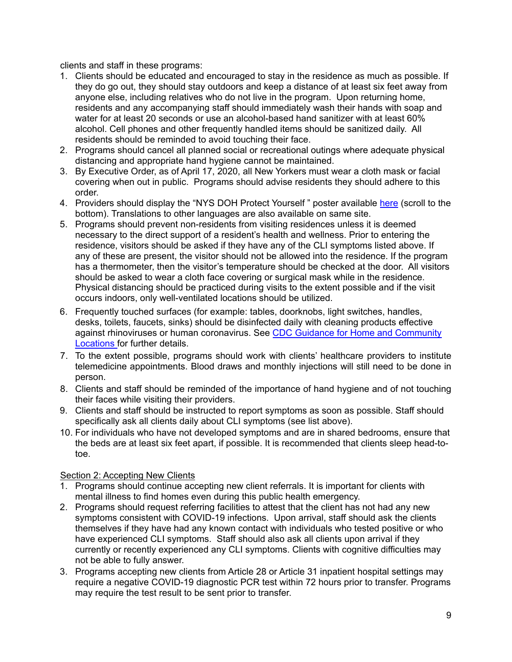clients and staff in these programs:

- 1. Clients should be educated and encouraged to stay in the residence as much as possible. If they do go out, they should stay outdoors and keep a distance of at least six feet away from anyone else, including relatives who do not live in the program. Upon returning home, residents and any accompanying staff should immediately wash their hands with soap and water for at least 20 seconds or use an alcohol-based hand sanitizer with at least 60% alcohol. Cell phones and other frequently handled items should be sanitized daily. All residents should be reminded to avoid touching their face.
- 2. Programs should cancel all planned social or recreational outings where adequate physical distancing and appropriate hand hygiene cannot be maintained.
- 3. By Executive Order, as of April 17, 2020, all New Yorkers must wear a cloth mask or facial covering when out in public. Programs should advise residents they should adhere to this order.
- 4. Providers should display the "NYS DOH Protect Yourself" poster available [here](https://coronavirus.health.ny.gov/protect-yourself-and-your-family-coronavirus-covid19) (scroll to the bottom). Translations to other languages are also available on same site.
- 5. Programs should prevent non-residents from visiting residences unless it is deemed necessary to the direct support of a resident's health and wellness. Prior to entering the residence, visitors should be asked if they have any of the CLI symptoms listed above. If any of these are present, the visitor should not be allowed into the residence. If the program has a thermometer, then the visitor's temperature should be checked at the door. All visitors should be asked to wear a cloth face covering or surgical mask while in the residence. Physical distancing should be practiced during visits to the extent possible and if the visit occurs indoors, only well-ventilated locations should be utilized.
- 6. Frequently touched surfaces (for example: tables, doorknobs, light switches, handles, desks, toilets, faucets, sinks) should be disinfected daily with cleaning products effective against rhinoviruses or human coronavirus. See [CDC Guidance for Home and Community](https://www.cdc.gov/coronavirus/2019-ncov/community/index.html) [Locations f](https://www.cdc.gov/coronavirus/2019-ncov/community/index.html)or further details.
- 7. To the extent possible, programs should work with clients' healthcare providers to institute telemedicine appointments. Blood draws and monthly injections will still need to be done in person.
- 8. Clients and staff should be reminded of the importance of hand hygiene and of not touching their faces while visiting their providers.
- 9. Clients and staff should be instructed to report symptoms as soon as possible. Staff should specifically ask all clients daily about CLI symptoms (see list above).
- 10. For individuals who have not developed symptoms and are in shared bedrooms, ensure that the beds are at least six feet apart, if possible. It is recommended that clients sleep head-totoe.

### Section 2: Accepting New Clients

- 1. Programs should continue accepting new client referrals. It is important for clients with mental illness to find homes even during this public health emergency.
- 2. Programs should request referring facilities to attest that the client has not had any new symptoms consistent with COVID-19 infections. Upon arrival, staff should ask the clients themselves if they have had any known contact with individuals who tested positive or who have experienced CLI symptoms. Staff should also ask all clients upon arrival if they currently or recently experienced any CLI symptoms. Clients with cognitive difficulties may not be able to fully answer.
- 3. Programs accepting new clients from Article 28 or Article 31 inpatient hospital settings may require a negative COVID-19 diagnostic PCR test within 72 hours prior to transfer. Programs may require the test result to be sent prior to transfer.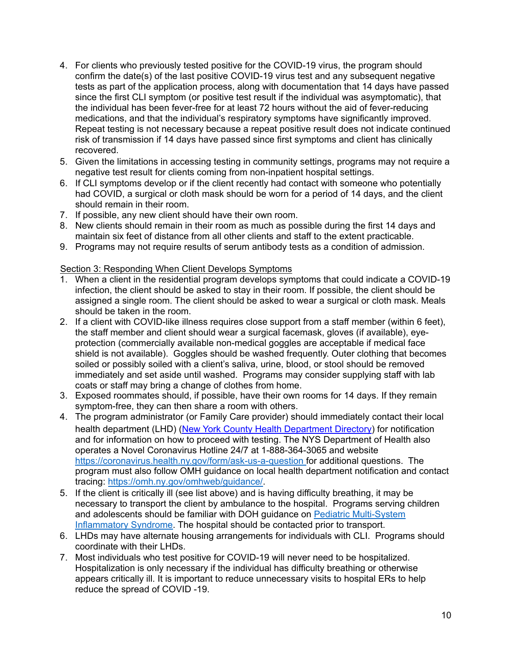- 4. For clients who previously tested positive for the COVID-19 virus, the program should confirm the date(s) of the last positive COVID-19 virus test and any subsequent negative tests as part of the application process, along with documentation that 14 days have passed since the first CLI symptom (or positive test result if the individual was asymptomatic), that the individual has been fever-free for at least 72 hours without the aid of fever-reducing medications, and that the individual's respiratory symptoms have significantly improved. Repeat testing is not necessary because a repeat positive result does not indicate continued risk of transmission if 14 days have passed since first symptoms and client has clinically recovered.
- 5. Given the limitations in accessing testing in community settings, programs may not require a negative test result for clients coming from non-inpatient hospital settings.
- 6. If CLI symptoms develop or if the client recently had contact with someone who potentially had COVID, a surgical or cloth mask should be worn for a period of 14 days, and the client should remain in their room.
- 7. If possible, any new client should have their own room.
- 8. New clients should remain in their room as much as possible during the first 14 days and maintain six feet of distance from all other clients and staff to the extent practicable.
- 9. Programs may not require results of serum antibody tests as a condition of admission.

## Section 3: Responding When Client Develops Symptoms

- 1. When a client in the residential program develops symptoms that could indicate a COVID-19 infection, the client should be asked to stay in their room. If possible, the client should be assigned a single room. The client should be asked to wear a surgical or cloth mask. Meals should be taken in the room.
- 2. If a client with COVID-like illness requires close support from a staff member (within 6 feet), the staff member and client should wear a surgical facemask, gloves (if available), eyeprotection (commercially available non-medical goggles are acceptable if medical face shield is not available). Goggles should be washed frequently. Outer clothing that becomes soiled or possibly soiled with a client's saliva, urine, blood, or stool should be removed immediately and set aside until washed. Programs may consider supplying staff with lab coats or staff may bring a change of clothes from home.
- 3. Exposed roommates should, if possible, have their own rooms for 14 days. If they remain symptom-free, they can then share a room with others.
- 4. The program administrator (or Family Care provider) should immediately contact their local health department (LHD) [\(New York County Health Department Directory\)](https://www.nysacho.org/directory/) for notification and for information on how to proceed with testing. The NYS Department of Health also operates a Novel Coronavirus Hotline 24/7 at 1-888-364-3065 and website <https://coronavirus.health.ny.gov/form/ask-us-a-question> for additional questions. The program must also follow OMH guidance on local health department notification and contact tracing: [https://omh.ny.gov/omhweb/guidance/.](https://omh.ny.gov/omhweb/guidance/)
- 5. If the client is critically ill (see list above) and is having difficulty breathing, it may be necessary to transport the client by ambulance to the hospital. Programs serving children and adolescents should be familiar with DOH guidance on [Pediatric Multi-System](https://www.health.ny.gov/press/releases/2020/docs/2020-05-06_covid19_pediatric_inflammatory_syndrome.pdf)  [Inflammatory Syndrome.](https://www.health.ny.gov/press/releases/2020/docs/2020-05-06_covid19_pediatric_inflammatory_syndrome.pdf) The hospital should be contacted prior to transport.
- 6. LHDs may have alternate housing arrangements for individuals with CLI. Programs should coordinate with their LHDs.
- 7. Most individuals who test positive for COVID-19 will never need to be hospitalized. Hospitalization is only necessary if the individual has difficulty breathing or otherwise appears critically ill. It is important to reduce unnecessary visits to hospital ERs to help reduce the spread of COVID -19.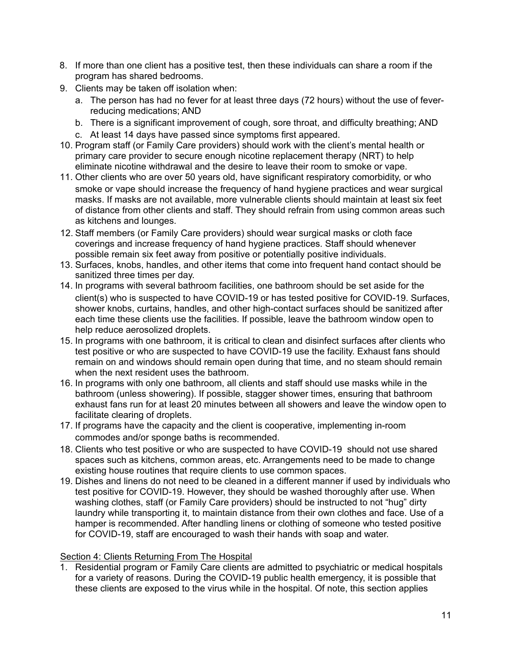- 8. If more than one client has a positive test, then these individuals can share a room if the program has shared bedrooms.
- 9. Clients may be taken off isolation when:
	- a. The person has had no fever for at least three days (72 hours) without the use of feverreducing medications; AND
	- b. There is a significant improvement of cough, sore throat, and difficulty breathing; AND
	- c. At least 14 days have passed since symptoms first appeared.
- 10. Program staff (or Family Care providers) should work with the client's mental health or primary care provider to secure enough nicotine replacement therapy (NRT) to help eliminate nicotine withdrawal and the desire to leave their room to smoke or vape.
- 11. Other clients who are over 50 years old, have significant respiratory comorbidity, or who smoke or vape should increase the frequency of hand hygiene practices and wear surgical masks. If masks are not available, more vulnerable clients should maintain at least six feet of distance from other clients and staff. They should refrain from using common areas such as kitchens and lounges.
- 12. Staff members (or Family Care providers) should wear surgical masks or cloth face coverings and increase frequency of hand hygiene practices. Staff should whenever possible remain six feet away from positive or potentially positive individuals.
- 13. Surfaces, knobs, handles, and other items that come into frequent hand contact should be sanitized three times per day.
- 14. In programs with several bathroom facilities, one bathroom should be set aside for the client(s) who is suspected to have COVID-19 or has tested positive for COVID-19. Surfaces, shower knobs, curtains, handles, and other high-contact surfaces should be sanitized after each time these clients use the facilities. If possible, leave the bathroom window open to help reduce aerosolized droplets.
- 15. In programs with one bathroom, it is critical to clean and disinfect surfaces after clients who test positive or who are suspected to have COVID-19 use the facility. Exhaust fans should remain on and windows should remain open during that time, and no steam should remain when the next resident uses the bathroom.
- 16. In programs with only one bathroom, all clients and staff should use masks while in the bathroom (unless showering). If possible, stagger shower times, ensuring that bathroom exhaust fans run for at least 20 minutes between all showers and leave the window open to facilitate clearing of droplets.
- 17. If programs have the capacity and the client is cooperative, implementing in-room commodes and/or sponge baths is recommended.
- 18. Clients who test positive or who are suspected to have COVID-19 should not use shared spaces such as kitchens, common areas, etc. Arrangements need to be made to change existing house routines that require clients to use common spaces.
- 19. Dishes and linens do not need to be cleaned in a different manner if used by individuals who test positive for COVID-19. However, they should be washed thoroughly after use. When washing clothes, staff (or Family Care providers) should be instructed to not "hug" dirty laundry while transporting it, to maintain distance from their own clothes and face. Use of a hamper is recommended. After handling linens or clothing of someone who tested positive for COVID-19, staff are encouraged to wash their hands with soap and water.

### Section 4: Clients Returning From The Hospital

1. Residential program or Family Care clients are admitted to psychiatric or medical hospitals for a variety of reasons. During the COVID-19 public health emergency, it is possible that these clients are exposed to the virus while in the hospital. Of note, this section applies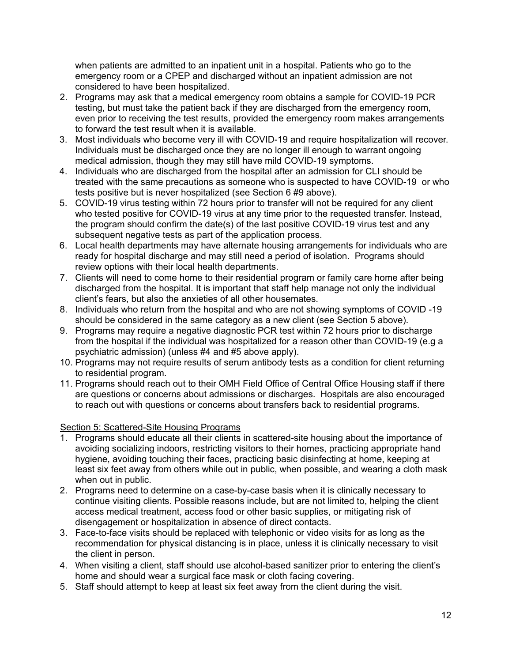when patients are admitted to an inpatient unit in a hospital. Patients who go to the emergency room or a CPEP and discharged without an inpatient admission are not considered to have been hospitalized.

- 2. Programs may ask that a medical emergency room obtains a sample for COVID-19 PCR testing, but must take the patient back if they are discharged from the emergency room, even prior to receiving the test results, provided the emergency room makes arrangements to forward the test result when it is available.
- 3. Most individuals who become very ill with COVID-19 and require hospitalization will recover. Individuals must be discharged once they are no longer ill enough to warrant ongoing medical admission, though they may still have mild COVID-19 symptoms.
- 4. Individuals who are discharged from the hospital after an admission for CLI should be treated with the same precautions as someone who is suspected to have COVID-19 or who tests positive but is never hospitalized (see Section 6 #9 above).
- 5. COVID-19 virus testing within 72 hours prior to transfer will not be required for any client who tested positive for COVID-19 virus at any time prior to the requested transfer. Instead, the program should confirm the date(s) of the last positive COVID-19 virus test and any subsequent negative tests as part of the application process.
- 6. Local health departments may have alternate housing arrangements for individuals who are ready for hospital discharge and may still need a period of isolation. Programs should review options with their local health departments.
- 7. Clients will need to come home to their residential program or family care home after being discharged from the hospital. It is important that staff help manage not only the individual client's fears, but also the anxieties of all other housemates.
- 8. Individuals who return from the hospital and who are not showing symptoms of COVID -19 should be considered in the same category as a new client (see Section 5 above).
- 9. Programs may require a negative diagnostic PCR test within 72 hours prior to discharge from the hospital if the individual was hospitalized for a reason other than COVID-19 (e.g a psychiatric admission) (unless #4 and #5 above apply).
- 10. Programs may not require results of serum antibody tests as a condition for client returning to residential program.
- 11. Programs should reach out to their OMH Field Office of Central Office Housing staff if there are questions or concerns about admissions or discharges. Hospitals are also encouraged to reach out with questions or concerns about transfers back to residential programs.

### Section 5: Scattered-Site Housing Programs

- 1. Programs should educate all their clients in scattered-site housing about the importance of avoiding socializing indoors, restricting visitors to their homes, practicing appropriate hand hygiene, avoiding touching their faces, practicing basic disinfecting at home, keeping at least six feet away from others while out in public, when possible, and wearing a cloth mask when out in public.
- 2. Programs need to determine on a case-by-case basis when it is clinically necessary to continue visiting clients. Possible reasons include, but are not limited to, helping the client access medical treatment, access food or other basic supplies, or mitigating risk of disengagement or hospitalization in absence of direct contacts.
- 3. Face-to-face visits should be replaced with telephonic or video visits for as long as the recommendation for physical distancing is in place, unless it is clinically necessary to visit the client in person.
- 4. When visiting a client, staff should use alcohol-based sanitizer prior to entering the client's home and should wear a surgical face mask or cloth facing covering.
- 5. Staff should attempt to keep at least six feet away from the client during the visit.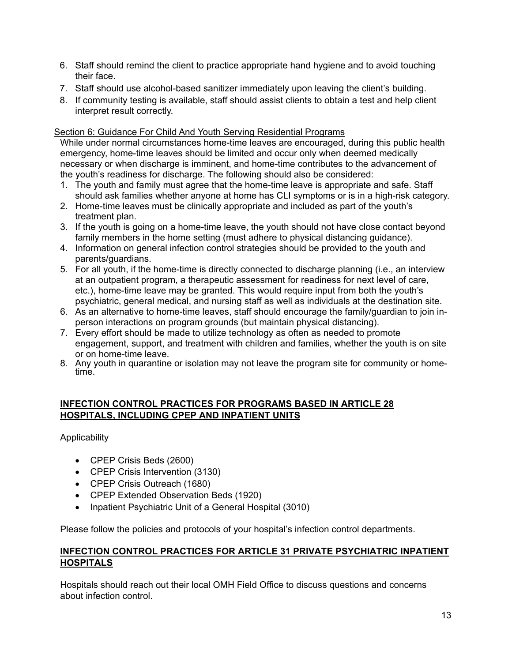- 6. Staff should remind the client to practice appropriate hand hygiene and to avoid touching their face.
- 7. Staff should use alcohol-based sanitizer immediately upon leaving the client's building.
- 8. If community testing is available, staff should assist clients to obtain a test and help client interpret result correctly.

### Section 6: Guidance For Child And Youth Serving Residential Programs

While under normal circumstances home-time leaves are encouraged, during this public health emergency, home-time leaves should be limited and occur only when deemed medically necessary or when discharge is imminent, and home-time contributes to the advancement of the youth's readiness for discharge. The following should also be considered:

- 1. The youth and family must agree that the home-time leave is appropriate and safe. Staff should ask families whether anyone at home has CLI symptoms or is in a high-risk category.
- 2. Home-time leaves must be clinically appropriate and included as part of the youth's treatment plan.
- 3. If the youth is going on a home-time leave, the youth should not have close contact beyond family members in the home setting (must adhere to physical distancing guidance).
- 4. Information on general infection control strategies should be provided to the youth and parents/guardians.
- 5. For all youth, if the home-time is directly connected to discharge planning (i.e., an interview at an outpatient program, a therapeutic assessment for readiness for next level of care, etc.), home-time leave may be granted. This would require input from both the youth's psychiatric, general medical, and nursing staff as well as individuals at the destination site.
- 6. As an alternative to home-time leaves, staff should encourage the family/guardian to join inperson interactions on program grounds (but maintain physical distancing).
- 7. Every effort should be made to utilize technology as often as needed to promote engagement, support, and treatment with children and families, whether the youth is on site or on home-time leave.
- 8. Any youth in quarantine or isolation may not leave the program site for community or home- time.

### **INFECTION CONTROL PRACTICES FOR PROGRAMS BASED IN ARTICLE 28 HOSPITALS, INCLUDING CPEP AND INPATIENT UNITS**

## Applicability

- CPEP Crisis Beds (2600)
- CPEP Crisis Intervention (3130)
- CPEP Crisis Outreach (1680)
- CPEP Extended Observation Beds (1920)
- Inpatient Psychiatric Unit of a General Hospital (3010)

Please follow the policies and protocols of your hospital's infection control departments.

## **INFECTION CONTROL PRACTICES FOR ARTICLE 31 PRIVATE PSYCHIATRIC INPATIENT HOSPITALS**

Hospitals should reach out their local OMH Field Office to discuss questions and concerns about infection control.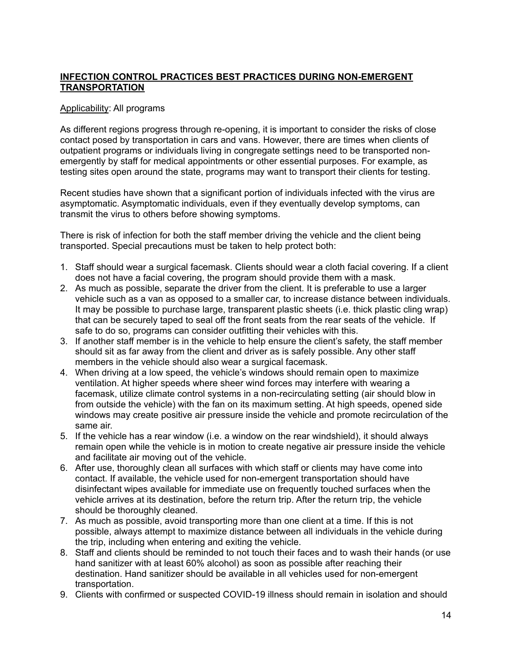## **INFECTION CONTROL PRACTICES BEST PRACTICES DURING NON-EMERGENT TRANSPORTATION**

#### Applicability: All programs

As different regions progress through re-opening, it is important to consider the risks of close contact posed by transportation in cars and vans. However, there are times when clients of outpatient programs or individuals living in congregate settings need to be transported nonemergently by staff for medical appointments or other essential purposes. For example, as testing sites open around the state, programs may want to transport their clients for testing.

Recent studies have shown that a significant portion of individuals infected with the virus are asymptomatic. Asymptomatic individuals, even if they eventually develop symptoms, can transmit the virus to others before showing symptoms.

There is risk of infection for both the staff member driving the vehicle and the client being transported. Special precautions must be taken to help protect both:

- 1. Staff should wear a surgical facemask. Clients should wear a cloth facial covering. If a client does not have a facial covering, the program should provide them with a mask.
- 2. As much as possible, separate the driver from the client. It is preferable to use a larger vehicle such as a van as opposed to a smaller car, to increase distance between individuals. It may be possible to purchase large, transparent plastic sheets (i.e. thick plastic cling wrap) that can be securely taped to seal off the front seats from the rear seats of the vehicle. If safe to do so, programs can consider outfitting their vehicles with this.
- 3. If another staff member is in the vehicle to help ensure the client's safety, the staff member should sit as far away from the client and driver as is safely possible. Any other staff members in the vehicle should also wear a surgical facemask.
- 4. When driving at a low speed, the vehicle's windows should remain open to maximize ventilation. At higher speeds where sheer wind forces may interfere with wearing a facemask, utilize climate control systems in a non-recirculating setting (air should blow in from outside the vehicle) with the fan on its maximum setting. At high speeds, opened side windows may create positive air pressure inside the vehicle and promote recirculation of the same air.
- 5. If the vehicle has a rear window (i.e. a window on the rear windshield), it should always remain open while the vehicle is in motion to create negative air pressure inside the vehicle and facilitate air moving out of the vehicle.
- 6. After use, thoroughly clean all surfaces with which staff or clients may have come into contact. If available, the vehicle used for non-emergent transportation should have disinfectant wipes available for immediate use on frequently touched surfaces when the vehicle arrives at its destination, before the return trip. After the return trip, the vehicle should be thoroughly cleaned.
- 7. As much as possible, avoid transporting more than one client at a time. If this is not possible, always attempt to maximize distance between all individuals in the vehicle during the trip, including when entering and exiting the vehicle.
- 8. Staff and clients should be reminded to not touch their faces and to wash their hands (or use hand sanitizer with at least 60% alcohol) as soon as possible after reaching their destination. Hand sanitizer should be available in all vehicles used for non-emergent transportation.
- 9. Clients with confirmed or suspected COVID-19 illness should remain in isolation and should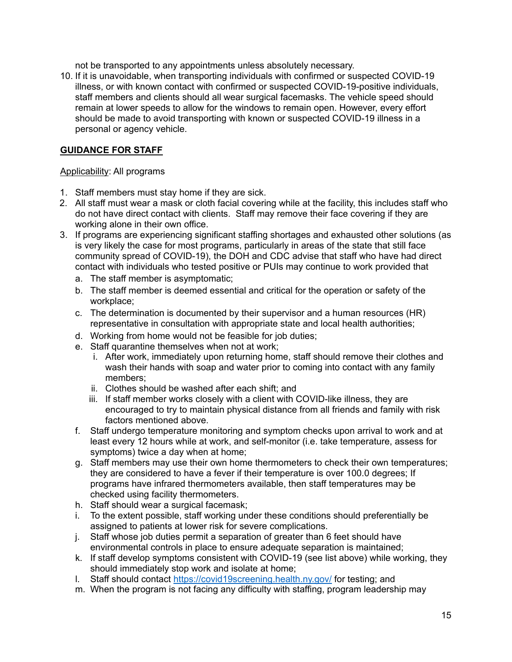not be transported to any appointments unless absolutely necessary.

10. If it is unavoidable, when transporting individuals with confirmed or suspected COVID-19 illness, or with known contact with confirmed or suspected COVID-19-positive individuals, staff members and clients should all wear surgical facemasks. The vehicle speed should remain at lower speeds to allow for the windows to remain open. However, every effort should be made to avoid transporting with known or suspected COVID-19 illness in a personal or agency vehicle.

### **GUIDANCE FOR STAFF**

#### Applicability: All programs

- 1. Staff members must stay home if they are sick.
- 2. All staff must wear a mask or cloth facial covering while at the facility, this includes staff who do not have direct contact with clients. Staff may remove their face covering if they are working alone in their own office.
- 3. If programs are experiencing significant staffing shortages and exhausted other solutions (as is very likely the case for most programs, particularly in areas of the state that still face community spread of COVID-19), the DOH and CDC advise that staff who have had direct contact with individuals who tested positive or PUIs may continue to work provided that
	- a. The staff member is asymptomatic;
	- b. The staff member is deemed essential and critical for the operation or safety of the workplace;
	- c. The determination is documented by their supervisor and a human resources (HR) representative in consultation with appropriate state and local health authorities;
	- d. Working from home would not be feasible for job duties;
	- e. Staff quarantine themselves when not at work;
		- i. After work, immediately upon returning home, staff should remove their clothes and wash their hands with soap and water prior to coming into contact with any family members;
		- ii. Clothes should be washed after each shift; and
		- iii. If staff member works closely with a client with COVID-like illness, they are encouraged to try to maintain physical distance from all friends and family with risk factors mentioned above.
	- f. Staff undergo temperature monitoring and symptom checks upon arrival to work and at least every 12 hours while at work, and self-monitor (i.e. take temperature, assess for symptoms) twice a day when at home;
	- g. Staff members may use their own home thermometers to check their own temperatures; they are considered to have a fever if their temperature is over 100.0 degrees; If programs have infrared thermometers available, then staff temperatures may be checked using facility thermometers.
	- h. Staff should wear a surgical facemask;
	- i. To the extent possible, staff working under these conditions should preferentially be assigned to patients at lower risk for severe complications.
	- j. Staff whose job duties permit a separation of greater than 6 feet should have environmental controls in place to ensure adequate separation is maintained;
	- k. If staff develop symptoms consistent with COVID-19 (see list above) while working, they should immediately stop work and isolate at home;
	- l. Staff should contact<https://covid19screening.health.ny.gov/> for testing; and
	- m. When the program is not facing any difficulty with staffing, program leadership may